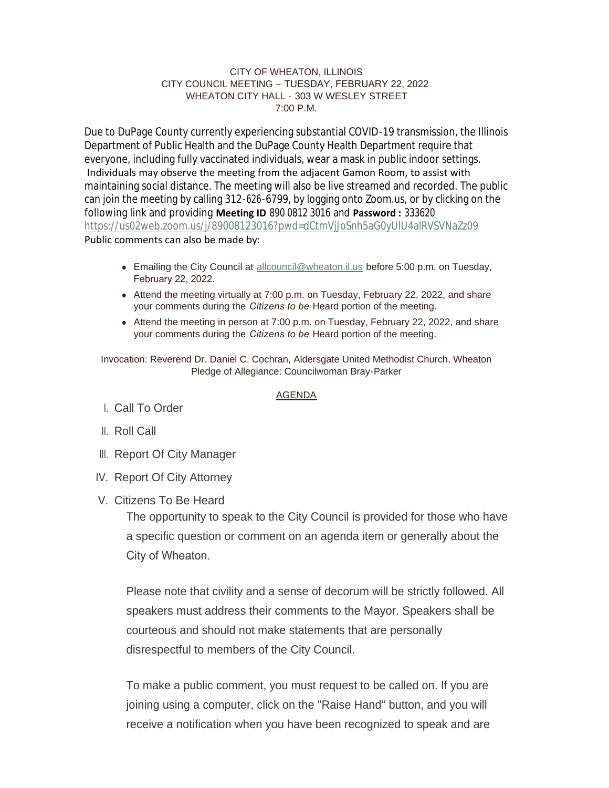### CITY OF WHEATON, ILLINOIS CITY COUNCIL MEETING – TUESDAY, FEBRUARY 22, 2022 WHEATON CITY HALL - 303 W WESLEY STREET  $7:00 \text{ P M}$

Due to DuPage County currently experiencing substantial COVID-19 transmission, the Illinois Department of Public Health and the DuPage County Health Department require that everyone, including fully vaccinated individuals, wear a mask in public indoor settings. Individuals may observe the meeting from the adjacent Gamon Room, to assist with maintaining social distance. The meeting will also be live streamed and recorded. The public can join the meeting by calling 312-626-6799, by logging onto Zoom.us, or by clicking on the following link and providing **Meeting ID** 890 0812 3016 and **Password :** 333620 <https://us02web.zoom.us/j/89008123016?pwd=dCtmVjJoSnh5aG0yUlU4alRVSVNaZz09> Public comments can also be made by:

- **Emailing the City Council at [allcouncil@wheaton.il.us](mailto:allcouncil@wheaton.il.us) before 5:00 p.m. on Tuesday,** February 22, 2022.
- Attend the meeting virtually at 7:00 p.m. on Tuesday, February 22, 2022, and share your comments during the *Citizens to be* Heard portion of the meeting.
- Attend the meeting in person at 7:00 p.m. on Tuesday, February 22, 2022, and share your comments during the *Citizens to be* Heard portion of the meeting.

Invocation: Reverend Dr. Daniel C. Cochran, Aldersgate United Methodist Church, Wheaton Pledge of Allegiance: Councilwoman Bray-Parker

## AGENDA

- Call To Order I.
- ll. Roll Call
- III. Report Of City Manager
- IV. Report Of City Attorney
- V. Citizens To Be Heard

The opportunity to speak to the City Council is provided for those who have a specific question or comment on an agenda item or generally about the City of Wheaton.

Please note that civility and a sense of decorum will be strictly followed. All speakers must address their comments to the Mayor. Speakers shall be courteous and should not make statements that are personally disrespectful to members of the City Council.

To make a public comment, you must request to be called on. If you are joining using a computer, click on the "Raise Hand" button, and you will receive a notification when you have been recognized to speak and are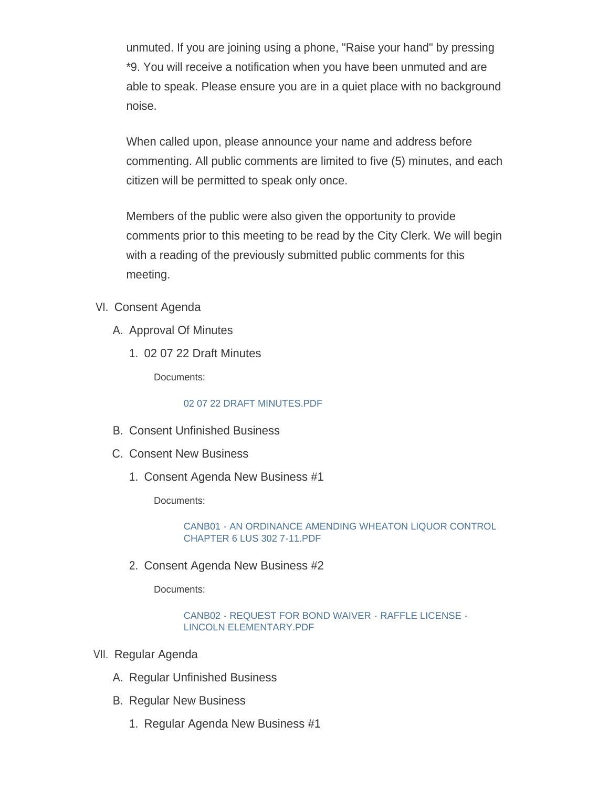unmuted. If you are joining using a phone, "Raise your hand" by pressing \*9. You will receive a notification when you have been unmuted and are able to speak. Please ensure you are in a quiet place with no background noise.

When called upon, please announce your name and address before commenting. All public comments are limited to five (5) minutes, and each citizen will be permitted to speak only once.

Members of the public were also given the opportunity to provide comments prior to this meeting to be read by the City Clerk. We will begin with a reading of the previously submitted public comments for this meeting.

- VI. Consent Agenda
	- A. Approval Of Minutes
		- 02 07 22 Draft Minutes 1.

Documents:

# [02 07 22 DRAFT MINUTES.PDF](https://www.wheaton.il.us/AgendaCenter/ViewFile/Item/8492?fileID=10932)

- B. Consent Unfinished Business
- C. Consent New Business
	- 1. Consent Agenda New Business #1

Documents:

[CANB01 - AN ORDINANCE AMENDING WHEATON LIQUOR CONTROL](https://www.wheaton.il.us/AgendaCenter/ViewFile/Item/8495?fileID=10933)  CHAPTER 6 LUS 302 7-11.PDF

2. Consent Agenda New Business #2

Documents:

[CANB02 - REQUEST FOR BOND WAIVER - RAFFLE LICENSE -](https://www.wheaton.il.us/AgendaCenter/ViewFile/Item/8496?fileID=10934) LINCOLN ELEMENTARY.PDF

- VII. Regular Agenda
	- A. Regular Unfinished Business
	- **B. Regular New Business** 
		- 1. Regular Agenda New Business #1